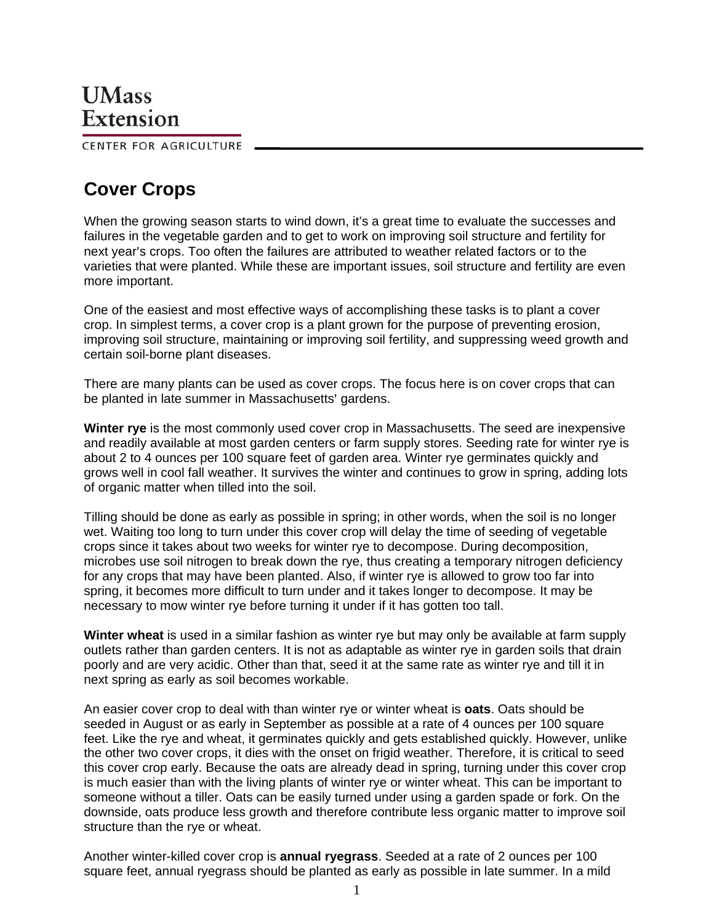CENTER FOR AGRICULTURE

## **Cover Crops**

When the growing season starts to wind down, it's a great time to evaluate the successes and failures in the vegetable garden and to get to work on improving soil structure and fertility for next year's crops. Too often the failures are attributed to weather related factors or to the varieties that were planted. While these are important issues, soil structure and fertility are even more important.

One of the easiest and most effective ways of accomplishing these tasks is to plant a cover crop. In simplest terms, a cover crop is a plant grown for the purpose of preventing erosion, improving soil structure, maintaining or improving soil fertility, and suppressing weed growth and certain soil-borne plant diseases.

There are many plants can be used as cover crops. The focus here is on cover crops that can be planted in late summer in Massachusetts' gardens.

**Winter rye** is the most commonly used cover crop in Massachusetts. The seed are inexpensive and readily available at most garden centers or farm supply stores. Seeding rate for winter rye is about 2 to 4 ounces per 100 square feet of garden area. Winter rye germinates quickly and grows well in cool fall weather. It survives the winter and continues to grow in spring, adding lots of organic matter when tilled into the soil.

Tilling should be done as early as possible in spring; in other words, when the soil is no longer wet. Waiting too long to turn under this cover crop will delay the time of seeding of vegetable crops since it takes about two weeks for winter rye to decompose. During decomposition, microbes use soil nitrogen to break down the rye, thus creating a temporary nitrogen deficiency for any crops that may have been planted. Also, if winter rye is allowed to grow too far into spring, it becomes more difficult to turn under and it takes longer to decompose. It may be necessary to mow winter rye before turning it under if it has gotten too tall.

**Winter wheat** is used in a similar fashion as winter rye but may only be available at farm supply outlets rather than garden centers. It is not as adaptable as winter rye in garden soils that drain poorly and are very acidic. Other than that, seed it at the same rate as winter rye and till it in next spring as early as soil becomes workable.

An easier cover crop to deal with than winter rye or winter wheat is **oats**. Oats should be seeded in August or as early in September as possible at a rate of 4 ounces per 100 square feet. Like the rye and wheat, it germinates quickly and gets established quickly. However, unlike the other two cover crops, it dies with the onset on frigid weather. Therefore, it is critical to seed this cover crop early. Because the oats are already dead in spring, turning under this cover crop is much easier than with the living plants of winter rye or winter wheat. This can be important to someone without a tiller. Oats can be easily turned under using a garden spade or fork. On the downside, oats produce less growth and therefore contribute less organic matter to improve soil structure than the rye or wheat.

Another winter-killed cover crop is **annual ryegrass**. Seeded at a rate of 2 ounces per 100 square feet, annual ryegrass should be planted as early as possible in late summer. In a mild